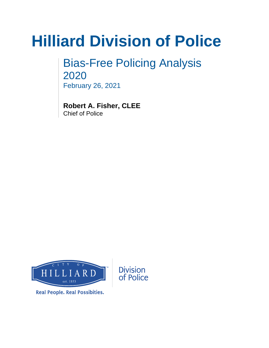# **Hilliard Division of Police**

Bias-Free Policing Analysis 2020 February 26, 2021

**Robert A. Fisher, CLEE** Chief of Police



**Real People. Real Possibities.**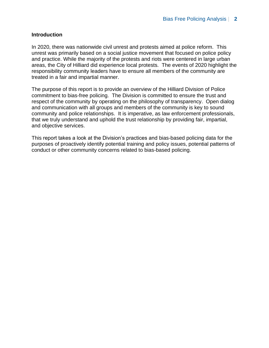#### **Introduction**

In 2020, there was nationwide civil unrest and protests aimed at police reform. This unrest was primarily based on a social justice movement that focused on police policy and practice. While the majority of the protests and riots were centered in large urban areas, the City of Hilliard did experience local protests. The events of 2020 highlight the responsibility community leaders have to ensure all members of the community are treated in a fair and impartial manner.

The purpose of this report is to provide an overview of the Hilliard Division of Police commitment to bias-free policing. The Division is committed to ensure the trust and respect of the community by operating on the philosophy of transparency. Open dialog and communication with all groups and members of the community is key to sound community and police relationships. It is imperative, as law enforcement professionals, that we truly understand and uphold the trust relationship by providing fair, impartial, and objective services.

This report takes a look at the Division's practices and bias-based policing data for the purposes of proactively identify potential training and policy issues, potential patterns of conduct or other community concerns related to bias-based policing.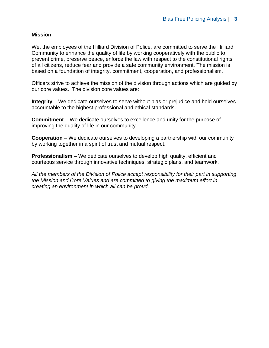#### **Mission**

We, the employees of the Hilliard Division of Police, are committed to serve the Hilliard Community to enhance the quality of life by working cooperatively with the public to prevent crime, preserve peace, enforce the law with respect to the constitutional rights of all citizens, reduce fear and provide a safe community environment. The mission is based on a foundation of integrity, commitment, cooperation, and professionalism.

Officers strive to achieve the mission of the division through actions which are guided by our core values. The division core values are:

**Integrity** – We dedicate ourselves to serve without bias or prejudice and hold ourselves accountable to the highest professional and ethical standards.

**Commitment** – We dedicate ourselves to excellence and unity for the purpose of improving the quality of life in our community.

**Cooperation** – We dedicate ourselves to developing a partnership with our community by working together in a spirit of trust and mutual respect.

**Professionalism** – We dedicate ourselves to develop high quality, efficient and courteous service through innovative techniques, strategic plans, and teamwork.

*All the members of the Division of Police accept responsibility for their part in supporting the Mission and Core Values and are committed to giving the maximum effort in creating an environment in which all can be proud.*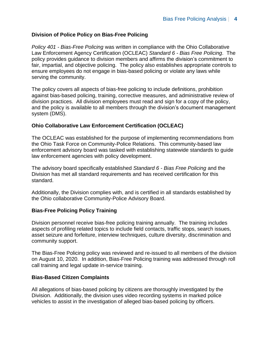## **Division of Police Policy on Bias-Free Policing**

*Policy 401 - Bias-Free Policing* was written in compliance with the Ohio Collaborative Law Enforcement Agency Certification (OCLEAC) *Standard 6 - Bias Free Policing*. The policy provides guidance to division members and affirms the division's commitment to fair, impartial, and objective policing. The policy also establishes appropriate controls to ensure employees do not engage in bias-based policing or violate any laws while serving the community.

The policy covers all aspects of bias-free policing to include definitions, prohibition against bias-based policing, training, corrective measures, and administrative review of division practices. All division employees must read and sign for a copy of the policy, and the policy is available to all members through the division's document management system (DMS).

### **Ohio Collaborative Law Enforcement Certification (OCLEAC)**

The OCLEAC was established for the purpose of implementing recommendations from the Ohio Task Force on Community-Police Relations. This community-based law enforcement advisory board was tasked with establishing statewide standards to guide law enforcement agencies with policy development.

The advisory board specifically established *Standard 6 - Bias Free Policing* and the Division has met all standard requirements and has received certification for this standard.

Additionally, the Division complies with, and is certified in all standards established by the Ohio collaborative Community-Police Advisory Board.

#### **Bias-Free Policing Policy Training**

Division personnel receive bias-free policing training annually. The training includes aspects of profiling related topics to include field contacts, traffic stops, search issues, asset seizure and forfeiture, interview techniques, culture diversity, discrimination and community support.

The Bias-Free Policing policy was reviewed and re-issued to all members of the division on August 10, 2020. In addition, Bias-Free Policing training was addressed through roll call training and legal update in-service training.

#### **Bias-Based Citizen Complaints**

All allegations of bias-based policing by citizens are thoroughly investigated by the Division. Additionally, the division uses video recording systems in marked police vehicles to assist in the investigation of alleged bias-based policing by officers.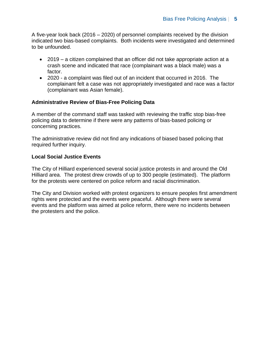A five-year look back (2016 – 2020) of personnel complaints received by the division indicated two bias-based complaints. Both incidents were investigated and determined to be unfounded.

- 2019 a citizen complained that an officer did not take appropriate action at a crash scene and indicated that race (complainant was a black male) was a factor.
- 2020 a complaint was filed out of an incident that occurred in 2016. The complainant felt a case was not appropriately investigated and race was a factor (complainant was Asian female).

### **Administrative Review of Bias-Free Policing Data**

A member of the command staff was tasked with reviewing the traffic stop bias-free policing data to determine if there were any patterns of bias-based policing or concerning practices.

The administrative review did not find any indications of biased based policing that required further inquiry.

### **Local Social Justice Events**

The City of Hilliard experienced several social justice protests in and around the Old Hilliard area. The protest drew crowds of up to 300 people (estimated). The platform for the protests were centered on police reform and racial discrimination.

The City and Division worked with protest organizers to ensure peoples first amendment rights were protected and the events were peaceful. Although there were several events and the platform was aimed at police reform, there were no incidents between the protesters and the police.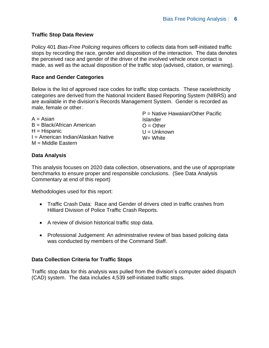## **Traffic Stop Data Review**

Policy 401 *Bias-Free Policing* requires officers to collects data from self-initiated traffic stops by recording the race, gender and disposition of the interaction. The data denotes the perceived race and gender of the driver of the involved vehicle once contact is made, as well as the actual disposition of the traffic stop (advised, citation, or warning).

#### **Race and Gender Categories**

Below is the list of approved race codes for traffic stop contacts. These race/ethnicity categories are derived from the National Incident Based Reporting System (NIBRS) and are available in the division's Records Management System. Gender is recorded as male, female or other. P = Native Hawaiian/Other Pacific

|                                    | $P =$ Native Hawaiian/Other Pacific |
|------------------------------------|-------------------------------------|
| A = Asian                          | <b>Islander</b>                     |
| B = Black/African American         | $O = Other$                         |
| $H = H$ ispanic                    | $U =$ Unknown                       |
| I = American Indian/Alaskan Native | $W = White$                         |
| $M =$ Middle Eastern               |                                     |

### **Data Analysis**

This analysis focuses on 2020 data collection, observations, and the use of appropriate benchmarks to ensure proper and responsible conclusions. (See Data Analysis Commentary at end of this report)

Methodologies used for this report:

- Traffic Crash Data: Race and Gender of drivers cited in traffic crashes from Hilliard Division of Police Traffic Crash Reports.
- A review of division historical traffic stop data.
- Professional Judgement: An administrative review of bias based policing data was conducted by members of the Command Staff.

## **Data Collection Criteria for Traffic Stops**

Traffic stop data for this analysis was pulled from the division's computer aided dispatch (CAD) system. The data includes 4,539 self-initiated traffic stops.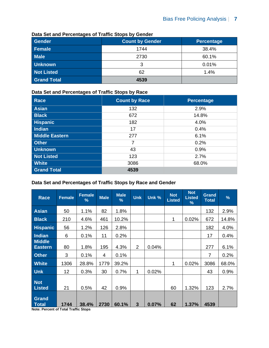| Gender             | <b>Count by Gender</b> | <b>Percentage</b> |
|--------------------|------------------------|-------------------|
| Female             | 1744                   | 38.4%             |
| <b>Male</b>        | 2730                   | 60.1%             |
| <b>Unknown</b>     |                        | 0.01%             |
| <b>Not Listed</b>  | 62                     | 1.4%              |
| <b>Grand Total</b> | 4539                   |                   |

#### **Data Set and Percentages of Traffic Stops by Gender**

#### **Data Set and Percentages of Traffic Stops by Race**

| <b>Race</b>           | <b>Count by Race</b> | <b>Percentage</b> |
|-----------------------|----------------------|-------------------|
| <b>Asian</b>          | 132                  | 2.9%              |
| <b>Black</b>          | 672                  | 14.8%             |
| <b>Hispanic</b>       | 182                  | 4.0%              |
| <b>Indian</b>         | 17                   | 0.4%              |
| <b>Middle Eastern</b> | 277                  | 6.1%              |
| <b>Other</b>          | 7                    | 0.2%              |
| <b>Unknown</b>        | 43                   | 0.9%              |
| <b>Not Listed</b>     | 123                  | 2.7%              |
| <b>White</b>          | 3086                 | 68.0%             |
| <b>Grand Total</b>    | 4539                 |                   |

### **Data Set and Percentages of Traffic Stops by Race and Gender**

| <b>Race</b>                     | <b>Female</b> | <b>Female</b><br>% | <b>Male</b> | <b>Male</b><br>$\frac{9}{6}$ | <b>Unk</b>     | Unk % | <b>Not</b><br><b>Listed</b> | <b>Not</b><br><b>Listed</b><br>℅ | <b>Grand</b><br><b>Total</b> | $\frac{9}{6}$ |
|---------------------------------|---------------|--------------------|-------------|------------------------------|----------------|-------|-----------------------------|----------------------------------|------------------------------|---------------|
| Asian                           | 50            | 1.1%               | 82          | 1.8%                         |                |       |                             |                                  | 132                          | 2.9%          |
| <b>Black</b>                    | 210           | 4.6%               | 461         | 10.2%                        |                |       | 1                           | 0.02%                            | 672                          | 14.8%         |
| <b>Hispanic</b>                 | 56            | 1.2%               | 126         | 2.8%                         |                |       |                             |                                  | 182                          | 4.0%          |
| Indian                          | 6             | 0.1%               | 11          | 0.2%                         |                |       |                             |                                  | 17                           | 0.4%          |
| <b>Middle</b><br><b>Eastern</b> | 80            | 1.8%               | 195         | 4.3%                         | $\overline{2}$ | 0.04% |                             |                                  | 277                          | 6.1%          |
| <b>Other</b>                    | 3             | 0.1%               | 4           | 0.1%                         |                |       |                             |                                  | 7                            | 0.2%          |
| <b>White</b>                    | 1306          | 28.8%              | 1779        | 39.2%                        |                |       | 1                           | 0.02%                            | 3086                         | 68.0%         |
| <b>Unk</b>                      | 12            | 0.3%               | 30          | 0.7%                         | 1              | 0.02% |                             |                                  | 43                           | 0.9%          |
| <b>Not</b><br><b>Listed</b>     | 21            | 0.5%               | 42          | 0.9%                         |                |       | 60                          | 1.32%                            | 123                          | 2.7%          |
| Grand<br>Total                  | 1744          | 38.4%              | 2730        | 60.1%                        | $\mathbf{3}$   | 0.07% | 62                          | 1.37%                            | 4539                         |               |

**Note: Percent of Total Traffic Stops**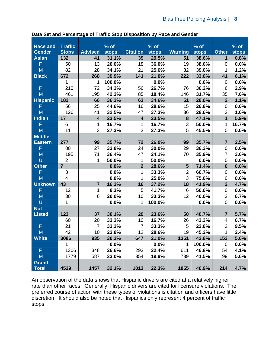| <b>Race and</b>       | <b>Traffic</b> |                         | % of         |                 | % of         |                | $%$ of       |                         | $%$ of       |
|-----------------------|----------------|-------------------------|--------------|-----------------|--------------|----------------|--------------|-------------------------|--------------|
| <b>Gender</b>         | <b>Stops</b>   | <b>Advised</b>          | <b>stops</b> | <b>Citation</b> | <b>stops</b> | <b>Warning</b> | <b>stops</b> | <b>Other</b>            | <b>stops</b> |
| <b>Asian</b>          | 132            | 41                      | 31.1%        | 39              | 29.5%        | 51             | 38.6%        | $\mathbf 1$             | 0.8%         |
| F                     | 50             | 13                      | 26.0%        | 18              | 36.0%        | 19             | 38.0%        | $\mathbf 0$             | 0.0%         |
| M                     | 82             | 28                      | 34.1%        | 21              | 25.6%        | 32             | 39.0%        |                         | 1.2%         |
| <b>Black</b>          | 672            | 268                     | 39.9%        | 141             | 21.0%        | 222            | 33.0%        | 41                      | 6.1%         |
|                       | 1              |                         | 100.0%       |                 | 0.0%         |                | 0.0%         | $\mathbf 0$             | 0.0%         |
| F                     | 210            | 72                      | 34.3%        | 56              | 26.7%        | 76             | 36.2%        | 6                       | 2.9%         |
| M                     | 461            | 195                     | 42.3%        | 85              | 18.4%        | 146            | 31.7%        | 35                      | 7.6%         |
| <b>Hispanic</b>       | 182            | 66                      | 36.3%        | 63              | 34.6%        | 51             | 28.0%        | $\overline{2}$          | 1.1%         |
| F                     | 56             | 25                      | 44.6%        | 16              | 28.6%        | 15             | 26.8%        | $\mathbf 0$             | 0.0%         |
| M                     | 126            | 41                      | 32.5%        | 47              | 37.3%        | 36             | 28.6%        | $\overline{2}$          | 1.6%         |
| Indian                | 17             | $\overline{\mathbf{4}}$ | 23.5%        | 4               | 23.5%        | 8              | 47.1%        | $\mathbf{1}$            | 5.9%         |
| F                     | 6              | 1                       | 16.7%        | 1               | 16.7%        | 3              | 50.0%        | 1                       | 16.7%        |
| M                     | 11             | 3                       | 27.3%        | 3               | 27.3%        | 5              | 45.5%        | 0                       | 0.0%         |
| <b>Middle</b>         |                |                         |              |                 |              |                |              |                         |              |
| <b>Eastern</b>        | 277            | 99                      | 35.7%        | 72              | 26.0%        | 99             | 35.7%        | $\overline{\mathbf{7}}$ | 2.5%         |
| F                     | 80             | 27                      | 33.8%        | 24              | 30.0%        | 29             | 36.3%        | $\mathbf 0$             | 0.0%         |
| M                     | 195            | 71                      | 36.4%        | 47              | 24.1%        | 70             | 35.9%        | $\overline{7}$          | 3.6%         |
| $\cup$                | $\overline{2}$ | 1                       | 50.0%        | 1               | 50.0%        |                | 0.0%         | $\mathbf 0$             | 0.0%         |
| <b>Other</b>          | $\overline{7}$ |                         | 0.0%         | $\overline{2}$  | 28.6%        | 5              | 71.4%        | $\bf{0}$                | 0.0%         |
| F                     | 3              |                         | 0.0%         | $\mathbf{1}$    | 33.3%        | $\overline{2}$ | 66.7%        | $\mathbf 0$             | 0.0%         |
| M                     | $\overline{4}$ |                         | 0.0%         | 1               | 25.0%        | $\overline{3}$ | 75.0%        | $\mathbf 0$             | 0.0%         |
| <b>Unknown</b>        | 43             | $\overline{7}$          | 16.3%        | 16              | 37.2%        | 18             | 41.9%        | $\overline{2}$          | 4.7%         |
| F                     | 12             | 1                       | 8.3%         | 5               | 41.7%        | 6              | 50.0%        | $\mathbf 0$             | 0.0%         |
| M                     | 30             | 6                       | 20.0%        | 10              | 33.3%        | 12             | 40.0%        | $\overline{2}$          | 6.7%         |
| $\cup$                | 1              |                         | 0.0%         | 1               | 100.0%       |                | 0.0%         | $\mathbf 0$             | 0.0%         |
| <b>Not</b>            |                |                         |              |                 |              |                |              |                         |              |
| <b>Listed</b>         | 123            | 37                      | 30.1%        | 29              | 23.6%        | 50             | 40.7%        | $\overline{7}$          | 5.7%         |
|                       | 60             | 20                      | 33.3%        | 10              | 16.7%        | 26             | 43.3%        | 4                       | 6.7%         |
| F                     | 21             | $\overline{7}$          | 33.3%        | $\overline{7}$  | 33.3%        | 5              | 23.8%        | $\overline{2}$          | 9.5%         |
| M                     | 42             | 10                      | 23.8%        | 12              | 28.6%        | 19             | 45.2%        | 1                       | 2.4%         |
| <b>White</b>          | 3086           | 935                     | 30.3%        | 647             | 21.0%        | 1351           | 43.8%        | 153                     | 5.0%         |
|                       |                |                         | 0.0%         |                 | 0.0%         | 1              | 100.0%       | 0                       | 0.0%         |
| F                     | 1306           | 348                     | 26.6%        | 293             | 22.4%        | 611            | 46.8%        | 54                      | 4.1%         |
| M                     | 1779           | 587                     | 33.0%        | 354             | 19.9%        | 739            | 41.5%        | 99                      | 5.6%         |
| Grand<br><b>Total</b> | 4539           | 1457                    | 32.1%        | 1013            | 22.3%        | 1855           | 40.9%        | 214                     | 4.7%         |

**Data Set and Percentage of Traffic Stop Disposition by Race and Gender**

An observation of the data shows that Hispanic drivers are cited at a relatively higher rate than other races. Generally, Hispanic drivers are cited for licensure violations. The preferred course of action with these types of violations is citation and officers have little discretion. It should also be noted that Hispanics only represent 4 percent of traffic stops.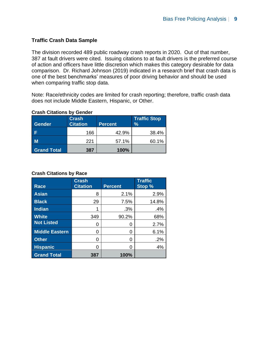## **Traffic Crash Data Sample**

The division recorded 489 public roadway crash reports in 2020. Out of that number, 387 at fault drivers were cited. Issuing citations to at fault drivers is the preferred course of action and officers have little discretion which makes this category desirable for data comparison. Dr. Richard Johnson (2019) indicated in a research brief that crash data is one of the best benchmarks' measures of poor driving behavior and should be used when comparing traffic stop data.

Note: Race/ethnicity codes are limited for crash reporting; therefore, traffic crash data does not include Middle Eastern, Hispanic, or Other.

| <b>Gender</b>      | <b>Crash</b><br><b>Citation</b> | <b>Percent</b> | <b>Traffic Stop</b><br>$\frac{9}{6}$ |
|--------------------|---------------------------------|----------------|--------------------------------------|
|                    | 166                             | 42.9%          | 38.4%                                |
| М                  | 221                             | 57.1%          | 60.1%                                |
| <b>Grand Total</b> | 387                             | 100%           |                                      |

## **Crash Citations by Gender**

#### **Crash Citations by Race**

| <b>Race</b>           | <b>Crash</b><br><b>Citation</b> | <b>Percent</b> | <b>Traffic</b><br>Stop % |
|-----------------------|---------------------------------|----------------|--------------------------|
| <b>Asian</b>          | 8                               | 2.1%           | 2.9%                     |
| <b>Black</b>          | 29                              | 7.5%           | 14.8%                    |
| <b>Indian</b>         | 1                               | .3%            | .4%                      |
| <b>White</b>          | 349                             | 90.2%          | 68%                      |
| <b>Not Listed</b>     | 0                               | O              | 2.7%                     |
| <b>Middle Eastern</b> | 0                               | 0              | 6.1%                     |
| <b>Other</b>          | 0                               | 0              | .2%                      |
| <b>Hispanic</b>       | 0                               | ი              | 4%                       |
| <b>Grand Total</b>    | 387                             | 100%           |                          |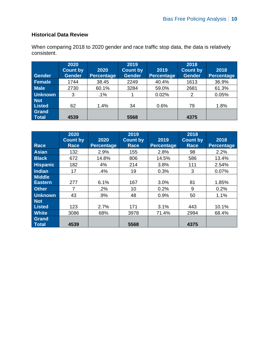# **Historical Data Review**

When comparing 2018 to 2020 gender and race traffic stop data, the data is relatively consistent.

| <b>Gender</b>               | 2020<br><b>Count by</b><br><b>Gender</b> | 2020<br><b>Percentage</b> | 2019<br><b>Count by</b><br><b>Gender</b> | 2019<br><b>Percentage</b> | 2018<br><b>Count by</b><br><b>Gender</b> | 2018<br>Percentage |
|-----------------------------|------------------------------------------|---------------------------|------------------------------------------|---------------------------|------------------------------------------|--------------------|
| Female                      | 1744                                     | 38.45                     | 2249                                     | 40.4%                     | 1613                                     | 36.9%              |
| <b>Male</b>                 | 2730                                     | 60.1%                     | 3284                                     | 59.0%                     | 2681                                     | 61.3%              |
| <b>Unknown</b>              | 3                                        | $.1\%$                    |                                          | 0.02%                     | 2                                        | 0.05%              |
| <b>Not</b><br><b>Listed</b> | 62                                       | 1.4%                      | 34                                       | 0.6%                      | 79                                       | 1.8%               |
| Grand<br>Total              | 4539                                     |                           | 5568                                     |                           | 4375                                     |                    |

|                 | 2020            |                   | 2019            |                   | 2018            |                   |
|-----------------|-----------------|-------------------|-----------------|-------------------|-----------------|-------------------|
|                 | <b>Count by</b> | 2020              | <b>Count by</b> | 2019              | <b>Count by</b> | 2018              |
| Race            | <b>Race</b>     | <b>Percentage</b> | Race            | <b>Percentage</b> | <b>Race</b>     | <b>Percentage</b> |
| Asian           | 132             | 2.9%              | 155             | 2.8%              | 98              | 2.2%              |
| <b>Black</b>    | 672             | 14.8%             | 806             | 14.5%             | 586             | 13.4%             |
| <b>Hispanic</b> | 182             | 4%                | 214             | 3.8%              | 111             | 2.54%             |
| Indian          | 17              | .4%               | 19              | 0.3%              | 3               | 0.07%             |
| <b>Middle</b>   |                 |                   |                 |                   |                 |                   |
| <b>Eastern</b>  | 277             | 6.1%              | 167             | 3.0%              | 81              | 1.85%             |
| <b>Other</b>    | 7               | .2%               | 10              | 0.2%              | 9               | 0.2%              |
| <b>Unknown</b>  | 43              | .9%               | 48              | 0.9%              | 50              | 1.1%              |
| <b>Not</b>      |                 |                   |                 |                   |                 |                   |
| <b>Listed</b>   | 123             | 2.7%              | 171             | 3.1%              | 443             | 10.1%             |
| <b>White</b>    | 3086            | 68%               | 3978            | 71.4%             | 2994            | 68.4%             |
| Grand<br>Total  | 4539            |                   | 5568            |                   | 4375            |                   |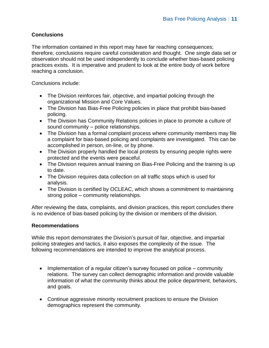## **Conclusions**

The information contained in this report may have far reaching consequences; therefore, conclusions require careful consideration and thought. One single data set or observation should not be used independently to conclude whether bias-based policing practices exists. It is imperative and prudent to look at the entire body of work before reaching a conclusion.

Conclusions include:

- The Division reinforces fair, objective, and impartial policing through the organizational Mission and Core Values.
- The Division has Bias-Free Policing policies in place that prohibit bias-based policing.
- The Division has Community Relations policies in place to promote a culture of sound community – police relationships.
- The Division has a formal complaint process where community members may file a complaint for bias-based policing and complaints are investigated. This can be accomplished in person, on-line, or by phone.
- The Division properly handled the local protests by ensuring people rights were protected and the events were peaceful.
- The Division requires annual training on Bias-Free Policing and the training is up to date.
- The Division requires data collection on all traffic stops which is used for analysis.
- The Division is certified by OCLEAC, which shows a commitment to maintaining strong police – community relationships.

After reviewing the data, complaints, and division practices, this report concludes there is no evidence of bias-based policing by the division or members of the division.

## **Recommendations**

While this report demonstrates the Division's pursuit of fair, objective, and impartial policing strategies and tactics, it also exposes the complexity of the issue. The following recommendations are intended to improve the analytical process.

- Implementation of a regular citizen's survey focused on police community relations. The survey can collect demographic information and provide valuable information of what the community thinks about the police department, behaviors, and goals.
- Continue aggressive minority recruitment practices to ensure the Division demographics represent the community.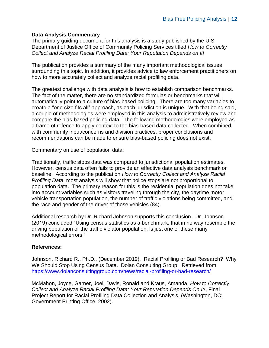#### **Data Analysis Commentary**

The primary guiding document for this analysis is a study published by the U.S Department of Justice Office of Community Policing Services titled *How to Correctly Collect and Analyze Racial Profiling Data: Your Reputation Depends on It!*

The publication provides a summary of the many important methodological issues surrounding this topic. In addition, it provides advice to law enforcement practitioners on how to more accurately collect and analyze racial profiling data.

The greatest challenge with data analysis is how to establish comparison benchmarks. The fact of the matter, there are no standardized formulas or benchmarks that will automatically point to a culture of bias-based policing. There are too many variables to create a "one size fits all" approach, as each jurisdiction is unique. With that being said, a couple of methodologies were employed in this analysis to administratively review and compare the bias-based policing data. The following methodologies were employed as a frame of refence to apply context to the bias-based data collected. When combined with community input/concerns and division practices, proper conclusions and recommendations can be made to ensure bias-based policing does not exist.

Commentary on use of population data:

Traditionally, traffic stops data was compared to jurisdictional population estimates. However, census data often fails to provide an effective data analysis benchmark or baseline. According to the publication *How to Correctly Collect and Analyze Racial Profiling Data*, most analysis will show that police stops are not proportional to population data. The primary reason for this is the residential population does not take into account variables such as visitors traveling through the city, the daytime motor vehicle transportation population, the number of traffic violations being committed, and the race and gender of the driver of those vehicles (84).

Additional research by Dr. Richard Johnson supports this conclusion. Dr. Johnson (2019) concluded "Using census statistics as a benchmark, that in no way resemble the driving population or the traffic violator population, is just one of these many methodological errors."

#### **References:**

Johnson, Richard R., Ph.D., (December 2019). Racial Profiling or Bad Research? Why We Should Stop Using Census Data. Dolan Consulting Group. Retrieved from <https://www.dolanconsultinggroup.com/news/racial-profiling-or-bad-research/>

McMahon, Joyce, Garner, Joel, Davis, Ronald and Kraus, Amanda, *How to Correctly Collect and Analyze Racial Profiling Data: Your Reputation Depends On It!*, Final Project Report for Racial Profiling Data Collection and Analysis. (Washington, DC: Government Printing Office, 2002).